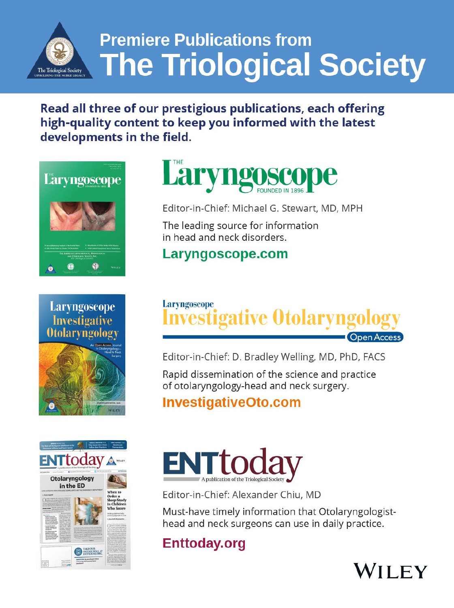

# **Premiere Publications from The Triological Society**

Read all three of our prestigious publications, each offering high-quality content to keep you informed with the latest developments in the field.







ONLINE



Editor-in-Chief: Michael G. Stewart, MD, MPH

The leading source for information in head and neck disorders.

# Laryngoscope.com



Editor-in-Chief: D. Bradley Welling, MD, PhD, FACS

Rapid dissemination of the science and practice of otolaryngology-head and neck surgery.

# **InvestigativeOto.com**



Editor-in-Chief: Alexander Chiu, MD

Must-have timely information that Otolaryngologisthead and neck surgeons can use in daily practice.

# **Enttoday.org**

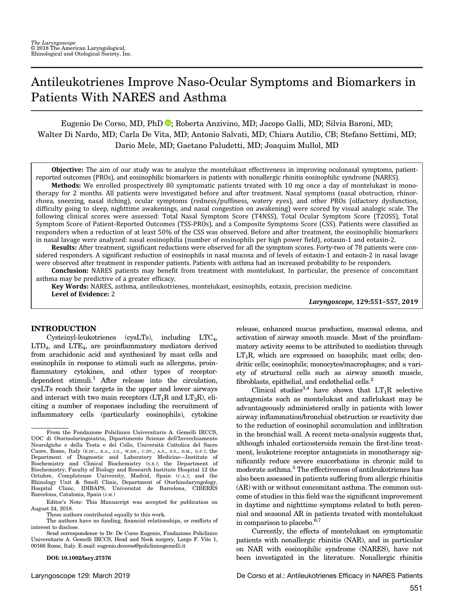# Antileukotrienes Improve Naso-Ocular Symptoms and Biomarkers in Patients With NARES and Asthma

Eugenio De Corso, MD, PhD <sup>o</sup>; Roberta Anzivino, MD; Jacopo Galli, MD; Silvia Baroni, MD; Walter Di Nardo, MD; Carla De Vita, MD; Antonio Salvati, MD; Chiara Autilio, CB; Stefano Settimi, MD; Dario Mele, MD; Gaetano Paludetti, MD; Joaquim Mullol, MD

**Objective:** The aim of our study was to analyze the montelukast effectiveness in improving oculonasal symptoms, patientreported outcomes (PROs), and eosinophilic biomarkers in patients with nonallergic rhinitis eosinophilic syndrome (NARES).

Methods: We enrolled prospectively 80 symptomatic patients treated with 10 mg once a day of montelukast in monotherapy for 2 months. All patients were investigated before and after treatment. Nasal symptoms (nasal obstruction, rhinorrhoea, sneezing, nasal itching), ocular symptoms (redness/puffiness, watery eyes), and other PROs (olfactory dysfunction, difficulty going to sleep, nighttime awakenings, and nasal congestion on awakening) were scored by visual analogic scale. The following clinical scores were assessed: Total Nasal Symptom Score (T4NSS), Total Ocular Symptom Score (T2OSS), Total Symptom Score of Patient-Reported Outcomes (TSS-PROs), and a Composite Symptoms Score (CSS). Patients were classified as responders when a reduction of at least 50% of the CSS was observed. Before and after treatment, the eosinophilic biomarkers in nasal lavage were analyzed: nasal eosinophilia (number of eosinophils per high power field), eotaxin-1 and eotaxin-2.

Results: After treatment, significant reductions were observed for all the symptom scores. Forty-two of 78 patients were considered responders. A significant reduction of eosinophils in nasal mucosa and of levels of eotaxin-1 and eotaxin-2 in nasal lavage were observed after treatment in responder patients. Patients with asthma had an increased probability to be responders.

Conclusion: NARES patients may benefit from treatment with montelukast. In particular, the presence of concomitant asthma may be predictive of a greater efficacy.

Key Words: NARES, asthma, antileukotrienes, montelukast, eosinophils, eotaxin, precision medicine. Level of Evidence: 2

Laryngoscope, 129:551–557, 2019

## **INTRODUCTION**

Cysteinyl-leukotrienes (cysLTs), including LTC4, LTD4, and LTE4, are proinflammatory mediators derived from arachidonic acid and synthesized by mast cells and eosinophils in response to stimuli such as allergens, proinflammatory cytokines, and other types of receptordependent stimuli.<sup>1</sup> After release into the circulation, cysLTs reach their targets in the upper and lower airways and interact with two main receptors  $(LT_1R \text{ and } LT_2R)$ , eliciting a number of responses including the recruitment of inflammatory cells (particularly eosinophils), cytokine

DOI: 10.1002/lary.27576

release, enhanced mucus production, mucosal edema, and activation of airway smooth muscle. Most of the proinflammatory activity seems to be attributed to mediation through  $LT_1R$ , which are expressed on basophils; mast cells; dendritic cells; eosinophils; monocytes/macrophages; and a variety of structural cells such as airway smooth muscle, fibroblasts, epithelial, and endothelial cells.<sup>2</sup>

Clinical studies<sup>3,4</sup> have shown that  $LT_1R$  selective antagonists such as montelukast and zafirlukast may be advantageously administered orally in patients with lower airway inflammation/bronchial obstruction or reactivity due to the reduction of eosinophil accumulation and infiltration in the bronchial wall. A recent meta-analysis suggests that, although inhaled corticosteroids remain the first-line treatment, leukotriene receptor antagonists in monotherapy significantly reduce severe exacerbations in chronic mild to moderate asthma.<sup>5</sup> The effectiveness of antileukotrienes has also been assessed in patients suffering from allergic rhinitis (AR) with or without concomitant asthma. The common outcome of studies in this field was the significant improvement in daytime and nighttime symptoms related to both perennial and seasonal AR in patients treated with montelukast in comparison to placebo. $^{\tilde{6},7}$ 

Currently, the effects of montelukast on symptomatic patients with nonallergic rhinitis (NAR), and in particular on NAR with eosinophilic syndrome (NARES), have not been investigated in the literature. Nonallergic rhinitis

#### Laryngoscope 129: March 2019 De Corso et al.: Antileukotrienes Efficacy in NARES Patients

From the Fondazione Policlinico Universitario A. Gemelli IRCCS, UOC di Otorinolaringoiatria, Dipartimento Scienze dell'Invecchiamento Neurolgiche e della Testa e del Collo, Università Cattolica del Sacro Cuore, Rome, Italy (E.DC., R.A., J.G., W.DN., C.DV., A.S., S.S., D.M., G.P.); the Department of Diagnostic and Laboratory Medicine—Institute of Biochemistry and Clinical Biochemistry (S.B.); the Department of Biochemistry, Faculty of Biology and Research Institute Hospital 12 the Octubre, Complutense University, Madrid, Spain (C.A.); and the Rhinology Unit & Smell Clinic, Department of Otorhinolaryngology, Hospital Clinic, IDIBAPS, Universitat de Barcelona, CIBERES Barcelona, Catalonia, Spain (J.M.)

Editor's Note: This Manuscript was accepted for publication on August 24, 2018.

These authors contributed equally to this work.

The authors have no funding, financial relationships, or conflicts of interest to disclose.

Send correspondence to Dr. De Corso Eugenio, Fondazione Policlinico Universitario A. Gemelli IRCCS, Head and Neck surgery, Largo F. Vito 1, 00168 Rome, Italy. E-mail: [eugenio.decorso@policlinicogemelli.it](mailto:eugenio.decorso@policlinicogemelli.it)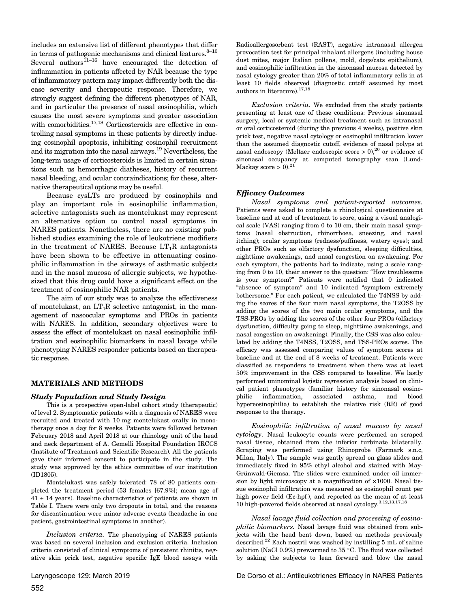includes an extensive list of different phenotypes that differ in terms of pathogenic mechanisms and clinical features. $8-10$ Several authors $11-16$  have encouraged the detection of inflammation in patients affected by NAR because the type of inflammatory pattern may impact differently both the disease severity and therapeutic response. Therefore, we strongly suggest defining the different phenotypes of NAR, and in particular the presence of nasal eosinophilia, which causes the most severe symptoms and greater association with comorbidities.<sup>17,18</sup> Corticosteroids are effective in controlling nasal symptoms in these patients by directly inducing eosinophil apoptosis, inhibiting eosinophil recruitment and its migration into the nasal airways.19 Nevertheless, the long-term usage of corticosteroids is limited in certain situations such us hemorrhagic diatheses, history of recurrent nasal bleeding, and ocular contraindications; for these, alternative therapeutical options may be useful.

Because cysLTs are produced by eosinophils and play an important role in eosinophilic inflammation, selective antagonists such as montelukast may represent an alternative option to control nasal symptoms in NARES patients. Nonetheless, there are no existing published studies examining the role of leukotriene modifiers in the treatment of NARES. Because  $LT_1R$  antagonists have been shown to be effective in attenuating eosinophilic inflammation in the airways of asthmatic subjects and in the nasal mucosa of allergic subjects, we hypothesized that this drug could have a significant effect on the treatment of eosinophilic NAR patients.

The aim of our study was to analyze the effectiveness of montelukast, an  $LT_1R$  selective antagonist, in the management of nasoocular symptoms and PROs in patients with NARES. In addition, secondary objectives were to assess the effect of montelukast on nasal eosinophilic infiltration and eosinophilic biomarkers in nasal lavage while phenotyping NARES responder patients based on therapeutic response.

### MATERIALS AND METHODS

### Study Population and Study Design

This is a prospective open-label cohort study (therapeutic) of level 2. Symptomatic patients with a diagnosis of NARES were recruited and treated with 10 mg montelukast orally in monotherapy once a day for 8 weeks. Patients were followed between February 2018 and April 2018 at our rhinology unit of the head and neck department of A. Gemelli Hospital Foundation IRCCS (Institute of Treatment and Scientific Research). All the patients gave their informed consent to participate in the study. The study was approved by the ethics committee of our institution (ID1805).

Montelukast was safely tolerated: 78 of 80 patients completed the treatment period (53 females [67.9%]; mean age of  $41 \pm 14$  years). Baseline characteristics of patients are shown in Table I. There were only two dropouts in total, and the reasons for discontinuation were minor adverse events (headache in one patient, gastrointestinal symptoms in another).

Inclusion criteria. The phenotyping of NARES patients was based on several inclusion and exclusion criteria. Inclusion criteria consisted of clinical symptoms of persistent rhinitis, negative skin prick test, negative specific IgE blood assays with

Radioallergosorbent test (RAST), negative intranasal allergen provocation test for principal inhalant allergens (including house dust mites, major Italian pollens, mold, dogs/cats epithelium), and eosinophilic infiltration in the sinonasal mucosa detected by nasal cytology greater than 20% of total inflammatory cells in at least 10 fields observed (diagnostic cutoff assumed by most authors in literature). $17,18$ 

Exclusion criteria. We excluded from the study patients presenting at least one of these conditions: Previous sinonasal surgery, local or systemic medical treatment such as intranasal or oral corticosteroid (during the previous 4 weeks), positive skin prick test, negative nasal cytology or eosinophil infiltration lower than the assumed diagnostic cutoff, evidence of nasal polyps at nasal endoscopy (Meltzer endoscopic score  $> 0$ ),<sup>20</sup> or evidence of sinonasal occupancy at computed tomography scan (Lund-Mackay score  $> 0$ .<sup>21</sup>

# Efficacy Outcomes

Nasal symptoms and patient-reported outcomes. Patients were asked to complete a rhinological questionnaire at baseline and at end of treatment to score, using a visual analogical scale (VAS) ranging from 0 to 10 cm, their main nasal symptoms (nasal obstruction, rhinorrhoea, sneezing, and nasal itching); ocular symptoms (redness/puffiness, watery eyes); and other PROs such as olfactory dysfunction, sleeping difficulties, nighttime awakenings, and nasal congestion on awakening. For each symptom, the patients had to indicate, using a scale ranging from 0 to 10, their answer to the question: "How troublesome is your symptom?" Patients were notified that 0 indicated "absence of symptom" and 10 indicated "symptom extremely bothersome." For each patient, we calculated the T4NSS by adding the scores of the four main nasal symptoms, the T2OSS by adding the scores of the two main ocular symptoms, and the TSS-PROs by adding the scores of the other four PROs (olfactory dysfunction, difficulty going to sleep, nighttime awakenings, and nasal congestion on awakening). Finally, the CSS was also calculated by adding the T4NSS, T2OSS, and TSS-PROs scores. The efficacy was assessed comparing values of symptom scores at baseline and at the end of 8 weeks of treatment. Patients were classified as responders to treatment when there was at least 50% improvement in the CSS compared to baseline. We lastly performed uninominal logistic regression analysis based on clinical patient phenotypes (familiar history for sinonasal eosinophilic inflammation, associated asthma, and blood hypereosinophilia) to establish the relative risk (RR) of good response to the therapy.

Eosinophilic infiltration of nasal mucosa by nasal cytology. Nasal leukocyte counts were performed on scraped nasal tissue, obtained from the inferior turbinate bilaterally. Scraping was performed using Rhinoprobe (Farmark s.n.c, Milan, Italy). The sample was gently spread on glass slides and immediately fixed in 95% ethyl alcohol and stained with May-Grünwald-Giemsa. The slides were examined under oil immersion by light microscopy at a magnification of ×1000. Nasal tissue eosinophil infiltration was measured as eosinophil count per high power field (Ec-hpf), and reported as the mean of at least 10 high-powered fields observed at nasal cytology.3,12,13,17,18

Nasal lavage fluid collection and processing of eosinophilic biomarkers. Nasal lavage fluid was obtained from subjects with the head bent down, based on methods previously described.<sup>22</sup> Each nostril was washed by instilling 5 mL of saline solution (NaCl 0.9%) prewarmed to 35 °C. The fluid was collected by asking the subjects to lean forward and blow the nasal

Laryngoscope 129: March 2019 De Corso et al.: Antileukotrienes Efficacy in NARES Patients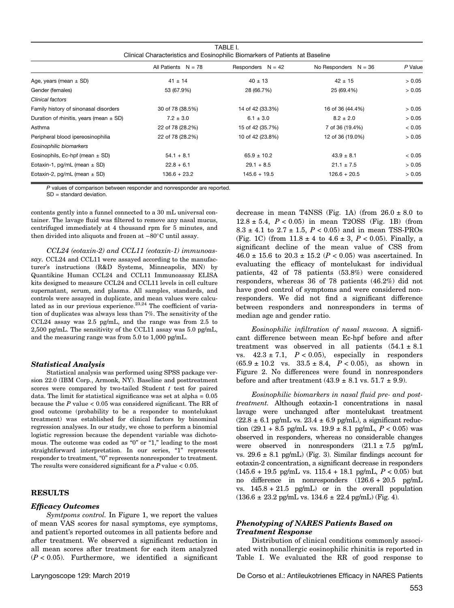| TABLE I.<br>Clinical Characteristics and Eosinophilic Biomarkers of Patients at Baseline |                  |                  |                  |        |
|------------------------------------------------------------------------------------------|------------------|------------------|------------------|--------|
|                                                                                          |                  |                  |                  |        |
| Age, years (mean $\pm$ SD)                                                               | $41 \pm 14$      | $40 \pm 13$      | $42 \pm 15$      | > 0.05 |
| Gender (females)                                                                         | 53 (67.9%)       | 28 (66.7%)       | 25 (69.4%)       | > 0.05 |
| Clinical factors                                                                         |                  |                  |                  |        |
| Family history of sinonasal disorders                                                    | 30 of 78 (38.5%) | 14 of 42 (33.3%) | 16 of 36 (44.4%) | > 0.05 |
| Duration of rhinitis, years (mean $\pm$ SD)                                              | $7.2 \pm 3.0$    | $6.1 \pm 3.0$    | $8.2 \pm 2.0$    | > 0.05 |
| Asthma                                                                                   | 22 of 78 (28.2%) | 15 of 42 (35.7%) | 7 of 36 (19.4%)  | < 0.05 |
| Peripheral blood ipereosinophilia                                                        | 22 of 78 (28.2%) | 10 of 42 (23.8%) | 12 of 36 (19.0%) | > 0.05 |
| Eosinophilic biomarkers                                                                  |                  |                  |                  |        |
| Eosinophils, Ec-hpf (mean $\pm$ SD)                                                      | $54.1 + 8.1$     | $65.9 \pm 10.2$  | $43.9 \pm 8.1$   | < 0.05 |
| Eotaxin-1, pg/mL (mean $\pm$ SD)                                                         | $22.8 + 6.1$     | $29.1 + 8.5$     | $21.1 \pm 7.5$   | > 0.05 |
| Eotaxin-2, pg/mL (mean $\pm$ SD)                                                         | $136.6 + 23.2$   | $145.6 + 19.5$   | $126.6 + 20.5$   | > 0.05 |

P values of comparison between responder and nonresponder are reported.

SD = standard deviation.

contents gently into a funnel connected to a 30 mL universal container. The lavage fluid was filtered to remove any nasal mucus, centrifuged immediately at 4 thousand rpm for 5 minutes, and then divided into aliquots and frozen at  $-80^{\circ}$ C until assay.

CCL24 (eotaxin-2) and CCL11 (eotaxin-1) immunoassay. CCL24 and CCL11 were assayed according to the manufacturer's instructions (R&D Systems, Minneapolis, MN) by Quantikine Human CCL24 and CCL11 Immunoassay ELISA kits designed to measure CCL24 and CCL11 levels in cell culture supernatant, serum, and plasma. All samples, standards, and controls were assayed in duplicate, and mean values were calculated as in our previous experience.<sup>23,24</sup> The coefficient of variation of duplicates was always less than 7%. The sensitivity of the CCL24 assay was 2.5 pg/mL, and the range was from 2.5 to 2,500 pg/mL. The sensitivity of the CCL11 assay was 5.0 pg/mL, and the measuring range was from 5.0 to 1,000 pg/mL.

#### Statistical Analysis

Statistical analysis was performed using SPSS package version 22.0 (IBM Corp., Armonk, NY). Baseline and posttreatment scores were compared by two-tailed Student  $t$  test for paired data. The limit for statistical significance was set at alpha = 0.05 because the P value  $< 0.05$  was considered significant. The RR of good outcome (probability to be a responder to montelukast treatment) was established for clinical factors by binominal regression analyses. In our study, we chose to perform a binomial logistic regression because the dependent variable was dichotomous. The outcome was coded as "0" or "1," leading to the most straightforward interpretation. In our series, "1" represents responder to treatment, "0" represents nonresponder to treatment. The results were considered significant for a  $P$  value  $< 0.05$ .

### RESULTS

#### Efficacy Outcomes

Symtpoms control. In Figure 1, we report the values of mean VAS scores for nasal symptoms, eye symptoms, and patient's reported outcomes in all patients before and after treatment. We observed a significant reduction in all mean scores after treatment for each item analyzed  $(P < 0.05)$ . Furthermore, we identified a significant decrease in mean T4NSS (Fig. 1A) (from  $26.0 \pm 8.0$  to  $12.8 \pm 5.4$ ,  $P < 0.05$ ) in mean T2OSS (Fig. 1B) (from  $8.3 \pm 4.1$  to  $2.7 \pm 1.5$ ,  $P < 0.05$ ) and in mean TSS-PROs (Fig. 1C) (from  $11.8 \pm 4$  to  $4.6 \pm 3$ ,  $P < 0.05$ ). Finally, a significant decline of the mean value of CSS from  $46.0 \pm 15.6$  to  $20.3 \pm 15.2$  (P < 0.05) was ascertained. In evaluating the efficacy of montelukast for individual patients, 42 of 78 patients (53.8%) were considered responders, whereas 36 of 78 patients (46.2%) did not have good control of symptoms and were considered nonresponders. We did not find a significant difference between responders and nonresponders in terms of median age and gender ratio.

Eosinophilic infiltration of nasal mucosa. A significant difference between mean Ec-hpf before and after treatment was observed in all patients  $(54.1 \pm 8.1)$ vs.  $42.3 \pm 7.1$ ,  $P < 0.05$ ), especially in responders  $(65.9 \pm 10.2 \text{ vs. } 33.5 \pm 8.4, P < 0.05)$ , as shown in Figure 2. No differences were found in nonresponders before and after treatment  $(43.9 \pm 8.1 \text{ vs. } 51.7 \pm 9.9)$ .

Eosinophilic biomarkers in nasal fluid pre- and posttreatment. Although eotaxin-1 concentrations in nasal lavage were unchanged after montelukast treatment  $(22.8 \pm 6.1 \text{ pg/mL}$  vs.  $23.4 \pm 6.9 \text{ pg/mL}$ , a significant reduction  $(29.1 + 8.5 \text{ pg/mL}$  vs.  $19.9 \pm 8.1 \text{ pg/mL}$ ,  $P < 0.05$ ) was observed in responders, whereas no considerable changes were observed in nonresponders  $(21.1 \pm 7.5 \text{ pg/mL})$ vs.  $29.6 \pm 8.1$  pg/mL) (Fig. 3). Similar findings account for eotaxin-2 concentration, a significant decrease in responders  $(145.6 + 19.5$  pg/mL vs.  $115.4 + 18.1$  pg/mL,  $P < 0.05$ ) but no difference in nonresponders (126.6 + 20.5 pg/mL vs.  $145.8 + 21.5$  pg/mL) or in the overall population  $(136.6 \pm 23.2 \text{ pg/mL} \text{ vs. } 134.6 \pm 22.4 \text{ pg/mL})$  (Fig. 4).

# Phenotyping of NARES Patients Based on Treatment Response

Distribution of clinical conditions commonly associated with nonallergic eosinophilic rhinitis is reported in Table I. We evaluated the RR of good response to

Laryngoscope 129: March 2019 De Corso et al.: Antileukotrienes Efficacy in NARES Patients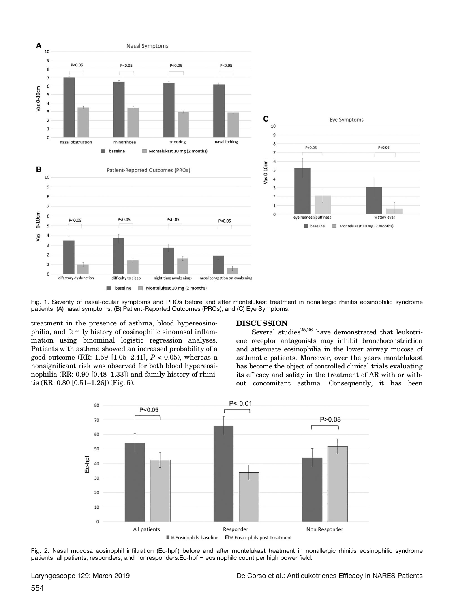

Fig. 1. Severity of nasal-ocular symptoms and PROs before and after montelukast treatment in nonallergic rhinitis eosinophilic syndrome patients: (A) nasal symptoms, (B) Patient-Reported Outcomes (PROs), and (C) Eye Symptoms.

treatment in the presence of asthma, blood hypereosinophilia, and family history of eosinophilic sinonasal inflammation using binominal logistic regression analyses. Patients with asthma showed an increased probability of a good outcome (RR: 1.59 [1.05–2.41],  $P < 0.05$ ), whereas a nonsignificant risk was observed for both blood hypereosinophilia (RR: 0.90 [0.48–1.33]) and family history of rhinitis (RR: 0.80 [0.51–1.26]) (Fig. 5).

### DISCUSSION

Several studies $^{25,26}$  have demonstrated that leukotriene receptor antagonists may inhibit bronchoconstriction and attenuate eosinophilia in the lower airway mucosa of asthmatic patients. Moreover, over the years montelukast has become the object of controlled clinical trials evaluating its efficacy and safety in the treatment of AR with or without concomitant asthma. Consequently, it has been



Fig. 2. Nasal mucosa eosinophil infiltration (Ec-hpf) before and after montelukast treatment in nonallergic rhinitis eosinophilic syndrome patients: all patients, responders, and nonresponders.Ec-hpf = eosinophilc count per high power field.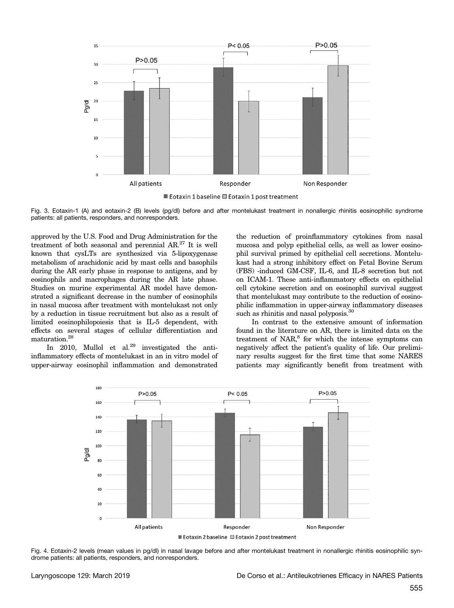



Fig. 3. Eotaxin-1 (A) and eotaxin-2 (B) levels (pg/dl) before and after montelukast treatment in nonallergic rhinitis eosinophilic syndrome patients: all patients, responders, and nonresponders.

approved by the U.S. Food and Drug Administration for the treatment of both seasonal and perennial AR.27 It is well known that cysLTs are synthesized via 5-lipoxygenase metabolism of arachidonic acid by mast cells and basophils during the AR early phase in response to antigens, and by eosinophils and macrophages during the AR late phase. Studies on murine experimental AR model have demonstrated a significant decrease in the number of eosinophils in nasal mucosa after treatment with montelukast not only by a reduction in tissue recruitment but also as a result of limited eosinophilopoiesis that is IL-5 dependent, with effects on several stages of cellular differentiation and maturation.28

In 2010, Mullol et al.<sup>29</sup> investigated the antiinflammatory effects of montelukast in an in vitro model of upper-airway eosinophil inflammation and demonstrated

the reduction of proinflammatory cytokines from nasal mucosa and polyp epithelial cells, as well as lower eosinophil survival primed by epithelial cell secretions. Montelukast had a strong inhibitory effect on Fetal Bovine Serum (FBS) -induced GM-CSF, IL-6, and IL-8 secretion but not on ICAM-1. These anti-inflammatory effects on epithelial cell cytokine secretion and on eosinophil survival suggest that montelukast may contribute to the reduction of eosinophilic inflammation in upper-airway inflammatory diseases such as rhinitis and nasal polyposis.<sup>30</sup>

In contrast to the extensive amount of information found in the literature on AR, there is limited data on the treatment of  $NAR$ <sup>8</sup>, for which the intense symptoms can negatively affect the patient's quality of life. Our preliminary results suggest for the first time that some NARES patients may significantly benefit from treatment with



Fig. 4. Eotaxin-2 levels (mean values in pg/dl) in nasal lavage before and after montelukast treatment in nonallergic rhinitis eosinophilic syndrome patients: all patients, responders, and nonresponders.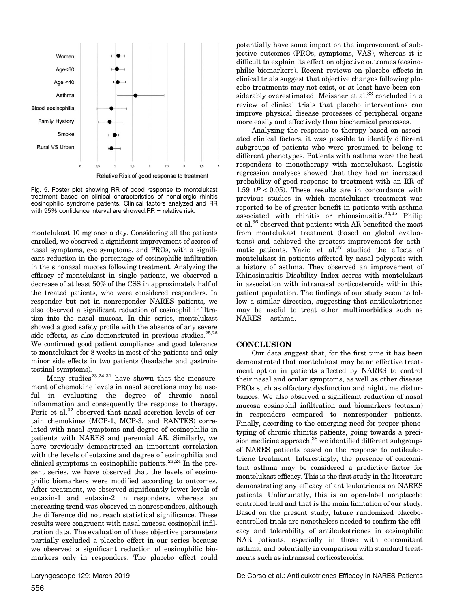

Fig. 5. Foster plot showing RR of good response to montelukast treatment based on clinical characteristics of nonallergic rhinitis eosinophilic syndrome patients. Clinical factors analyzed and RR with 95% confidence interval are showed.RR = relative risk.

montelukast 10 mg once a day. Considering all the patients enrolled, we observed a significant improvement of scores of nasal symptoms, eye symptoms, and PROs, with a significant reduction in the percentage of eosinophilic infiltration in the sinonasal mucosa following treatment. Analyzing the efficacy of montelukast in single patients, we observed a decrease of at least 50% of the CSS in approximately half of the treated patients, who were considered responders. In responder but not in nonresponder NARES patients, we also observed a significant reduction of eosinophil infiltration into the nasal mucosa. In this series, montelukast showed a good safety profile with the absence of any severe side effects, as also demonstrated in previous studies.<sup>25,26</sup> We confirmed good patient compliance and good tolerance to montelukast for 8 weeks in most of the patients and only minor side effects in two patients (headache and gastrointestinal symptoms).

Many studies $2^{3,24,31}$  have shown that the measurement of chemokine levels in nasal secretions may be useful in evaluating the degree of chronic nasal inflammation and consequently the response to therapy. Peric et al.<sup>32</sup> observed that nasal secretion levels of certain chemokines (MCP-1, MCP-3, and RANTES) correlated with nasal symptoms and degree of eosinophilia in patients with NARES and perennial AR. Similarly, we have previously demonstrated an important correlation with the levels of eotaxins and degree of eosinophilia and clinical symptoms in eosinophilic patients. $^{23,24}$  In the present series, we have observed that the levels of eosinophilic biomarkers were modified according to outcomes. After treatment, we observed significantly lower levels of eotaxin-1 and eotaxin-2 in responders, whereas an increasing trend was observed in nonresponders, although the difference did not reach statistical significance. These results were congruent with nasal mucosa eosinophil infiltration data. The evaluation of these objective parameters partially excluded a placebo effect in our series because we observed a significant reduction of eosinophilic biomarkers only in responders. The placebo effect could

potentially have some impact on the improvement of subjective outcomes (PROs, symptoms, VAS), whereas it is difficult to explain its effect on objective outcomes (eosinophilic biomarkers). Recent reviews on placebo effects in clinical trials suggest that objective changes following placebo treatments may not exist, or at least have been considerably overestimated. Meissner et al.<sup>33</sup> concluded in a review of clinical trials that placebo interventions can improve physical disease processes of peripheral organs more easily and effectively than biochemical processes.

Analyzing the response to therapy based on associated clinical factors, it was possible to identify different subgroups of patients who were presumed to belong to different phenotypes. Patients with asthma were the best responders to monotherapy with montelukast. Logistic regression analyses showed that they had an increased probability of good response to treatment with an RR of 1.59  $(P < 0.05)$ . These results are in concordance with previous studies in which montelukast treatment was reported to be of greater benefit in patients with asthma associated with rhinitis or rhinosinusitis.34,35 Philip et al.36 observed that patients with AR benefited the most from montelukast treatment (based on global evaluations) and achieved the greatest improvement for asthmatic patients. Yazici et al.<sup>37</sup> studied the effects of montelukast in patients affected by nasal polyposis with a history of asthma. They observed an improvement of Rhinosinusitis Disability Index scores with montelukast in association with intranasal corticosteroids within this patient population. The findings of our study seem to follow a similar direction, suggesting that antileukotrienes may be useful to treat other multimorbidies such as NARES + asthma.

### **CONCLUSION**

Our data suggest that, for the first time it has been demonstrated that montelukast may be an effective treatment option in patients affected by NARES to control their nasal and ocular symptoms, as well as other disease PROs such as olfactory dysfunction and nighttime disturbances. We also observed a significant reduction of nasal mucosa eosinophil infiltration and biomarkers (eotaxin) in responders compared to nonresponder patients. Finally, according to the emerging need for proper phenotyping of chronic rhinitis patients, going towards a precision medicine approach,<sup>38</sup> we identified different subgroups of NARES patients based on the response to antileukotriene treatment. Interestingly, the presence of concomitant asthma may be considered a predictive factor for montelukast efficacy. This is the first study in the literature demonstrating any efficacy of antileukotrienes on NARES patients. Unfortunatly, this is an open-label nonplacebo controlled trial and that is the main limitation of our study. Based on the present study, future randomized placebocontrolled trials are nonetheless needed to confirm the efficacy and tolerability of antileukotrienes in eosinophilic NAR patients, especially in those with concomitant asthma, and potentially in comparison with standard treatments such as intranasal corticosteroids.